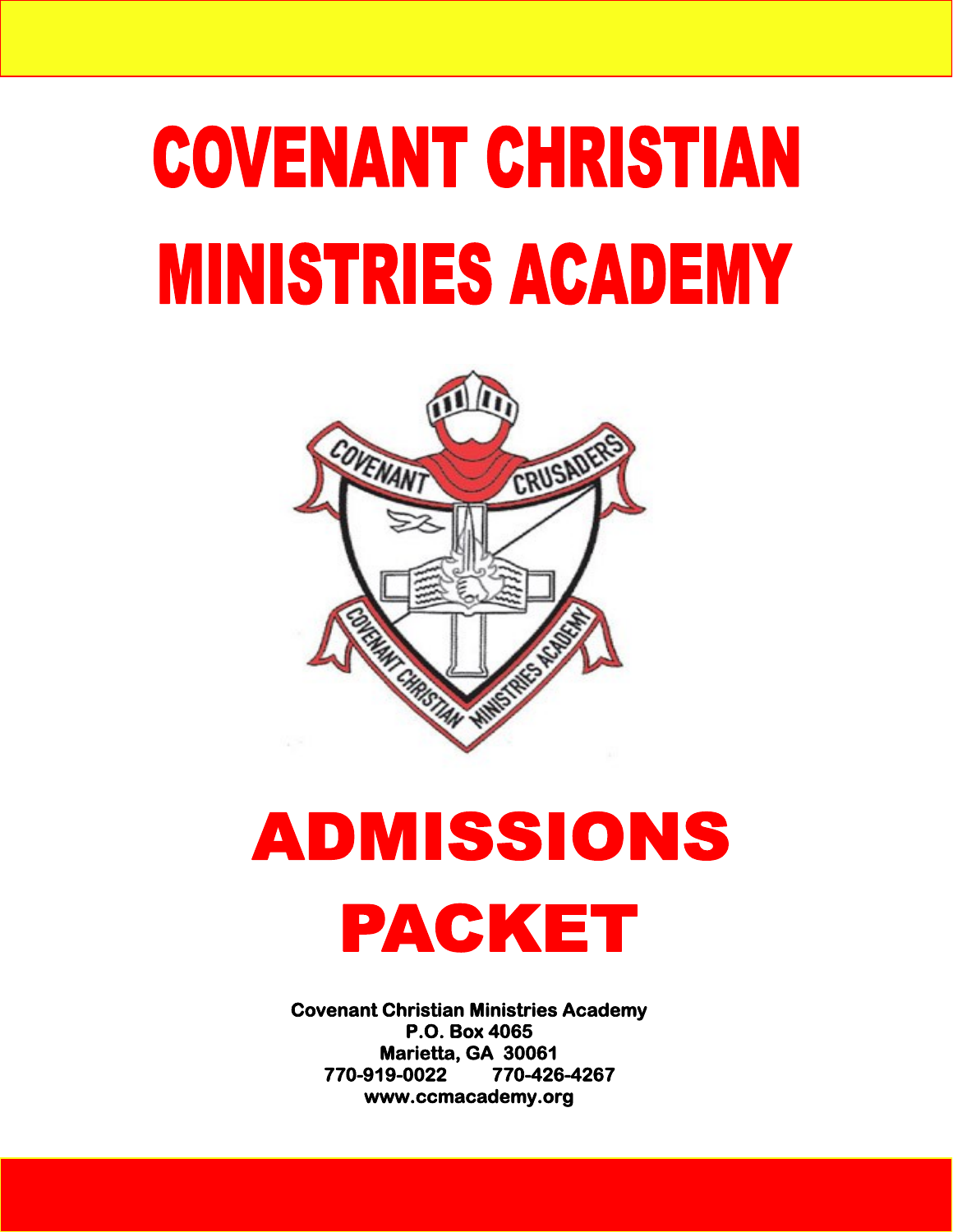# **COVENANT CHRISTIAN MINISTRIES ACADEMY**



## **ADMISSIONS** PACKET

**Covenant Christian Ministries Academy P.O. Box 4065 Marietta, GA 30061 770-919-0022 770-426-4267 www.ccmacademy.org**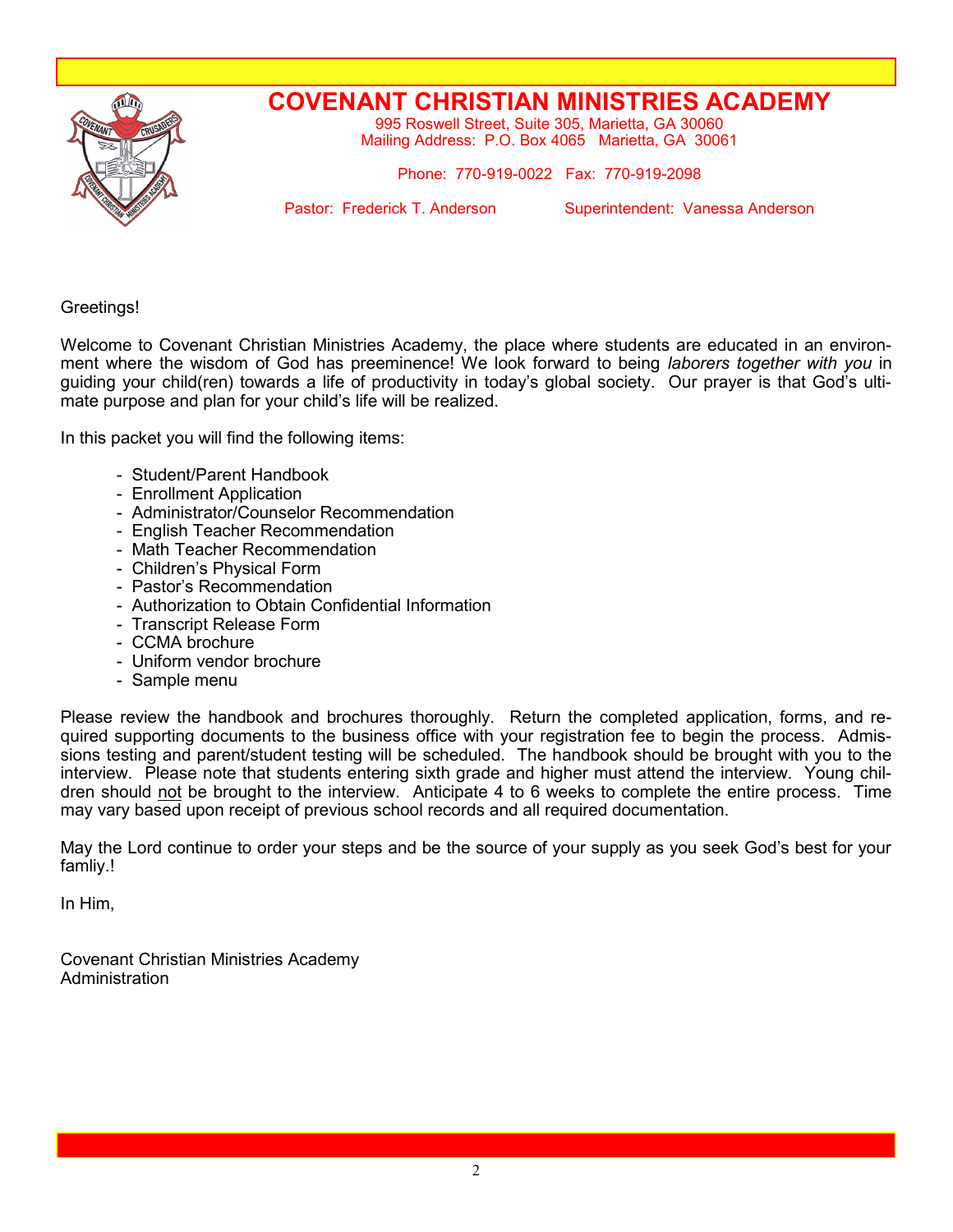

## **COVENANT CHRISTIAN MINISTRIES ACADEMY**

995 Roswell Street, Suite 305, Marietta, GA 30060 Mailing Address: P.O. Box 4065 Marietta, GA 30061

Phone: 770-919-0022 Fax: 770-919-2098

Pastor: Frederick T. Anderson Superintendent: Vanessa Anderson

Greetings!

Welcome to Covenant Christian Ministries Academy, the place where students are educated in an environment where the wisdom of God has preeminence! We look forward to being *laborers together with you* in guiding your child(ren) towards a life of productivity in today's global society. Our prayer is that God's ultimate purpose and plan for your child's life will be realized.

In this packet you will find the following items:

- Student/Parent Handbook
- Enrollment Application
- Administrator/Counselor Recommendation
- English Teacher Recommendation
- Math Teacher Recommendation
- Children's Physical Form
- Pastor's Recommendation
- Authorization to Obtain Confidential Information
- Transcript Release Form
- CCMA brochure
- Uniform vendor brochure
- Sample menu

Please review the handbook and brochures thoroughly. Return the completed application, forms, and required supporting documents to the business office with your registration fee to begin the process. Admissions testing and parent/student testing will be scheduled. The handbook should be brought with you to the interview. Please note that students entering sixth grade and higher must attend the interview. Young children should not be brought to the interview. Anticipate 4 to 6 weeks to complete the entire process. Time may vary based upon receipt of previous school records and all required documentation.

May the Lord continue to order your steps and be the source of your supply as you seek God's best for your famliy.!

In Him,

Covenant Christian Ministries Academy **Administration**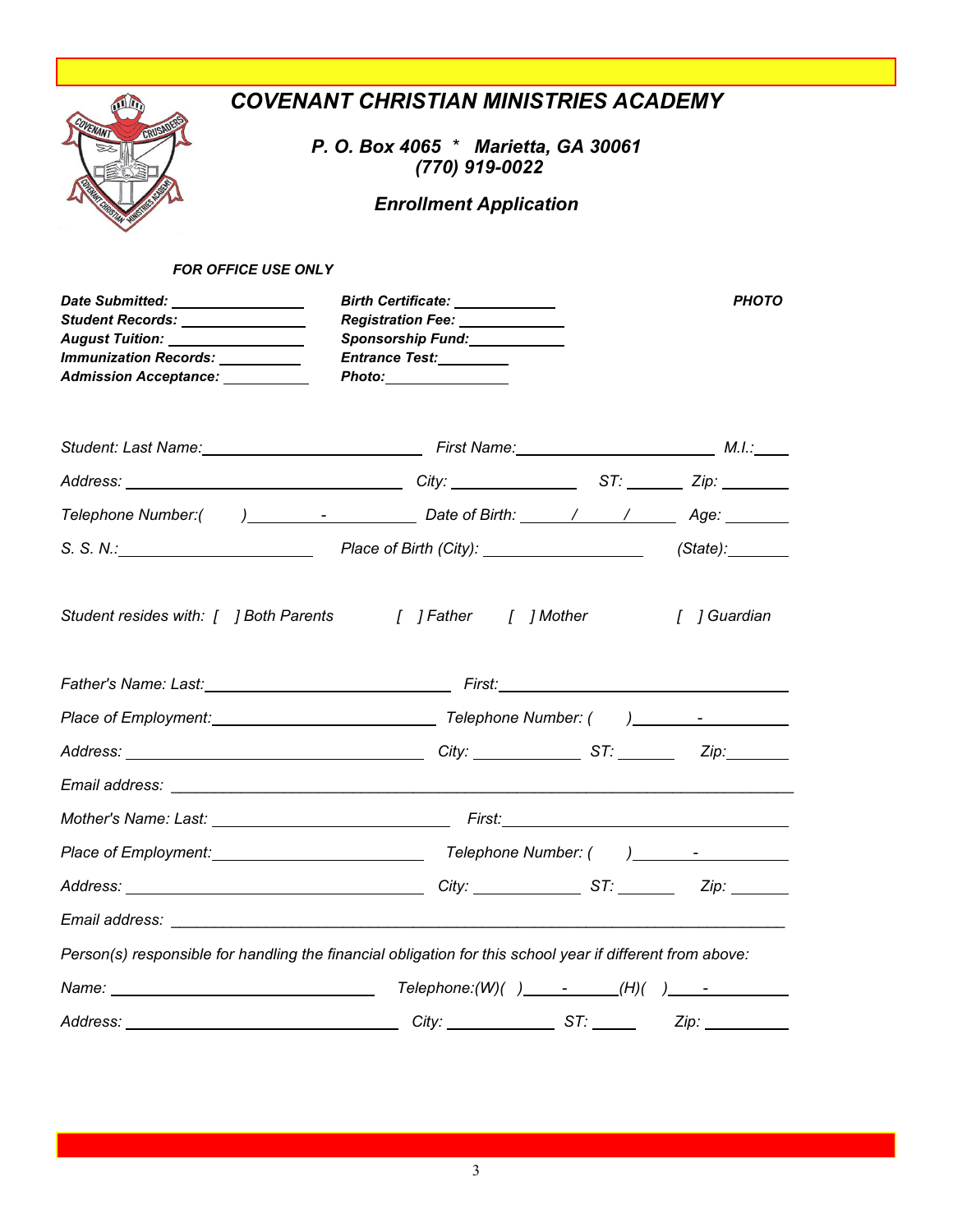|                                                                                                                                                                             | <b>COVENANT CHRISTIAN MINISTRIES ACADEMY</b><br>P. O. Box 4065 * Marietta, GA 30061<br>(770) 919-0022<br><b>Enrollment Application</b> |              |
|-----------------------------------------------------------------------------------------------------------------------------------------------------------------------------|----------------------------------------------------------------------------------------------------------------------------------------|--------------|
| <b>FOR OFFICE USE ONLY</b>                                                                                                                                                  |                                                                                                                                        |              |
| Date Submitted: ________________<br>Student Records: ______________<br>August Tuition: ________________<br><b>Immunization Records:</b><br>Admission Acceptance: __________ | Birth Certificate: <u>______________</u><br>Registration Fee: _____________<br>Sponsorship Fund: ____________<br>Entrance Test:        | <b>PHOTO</b> |
|                                                                                                                                                                             | Student: Last Name: Manner Manner Manner Manner Manner Manner Manner Manner Manner Manner Manner Manner Manner                         |              |
|                                                                                                                                                                             |                                                                                                                                        |              |
|                                                                                                                                                                             |                                                                                                                                        |              |
|                                                                                                                                                                             |                                                                                                                                        |              |
|                                                                                                                                                                             |                                                                                                                                        |              |
|                                                                                                                                                                             |                                                                                                                                        | [ ] Guardian |
|                                                                                                                                                                             |                                                                                                                                        |              |
|                                                                                                                                                                             |                                                                                                                                        |              |
|                                                                                                                                                                             |                                                                                                                                        |              |
|                                                                                                                                                                             |                                                                                                                                        |              |
|                                                                                                                                                                             |                                                                                                                                        |              |
|                                                                                                                                                                             |                                                                                                                                        |              |
|                                                                                                                                                                             |                                                                                                                                        |              |
|                                                                                                                                                                             | Person(s) responsible for handling the financial obligation for this school year if different from above:                              |              |
|                                                                                                                                                                             |                                                                                                                                        |              |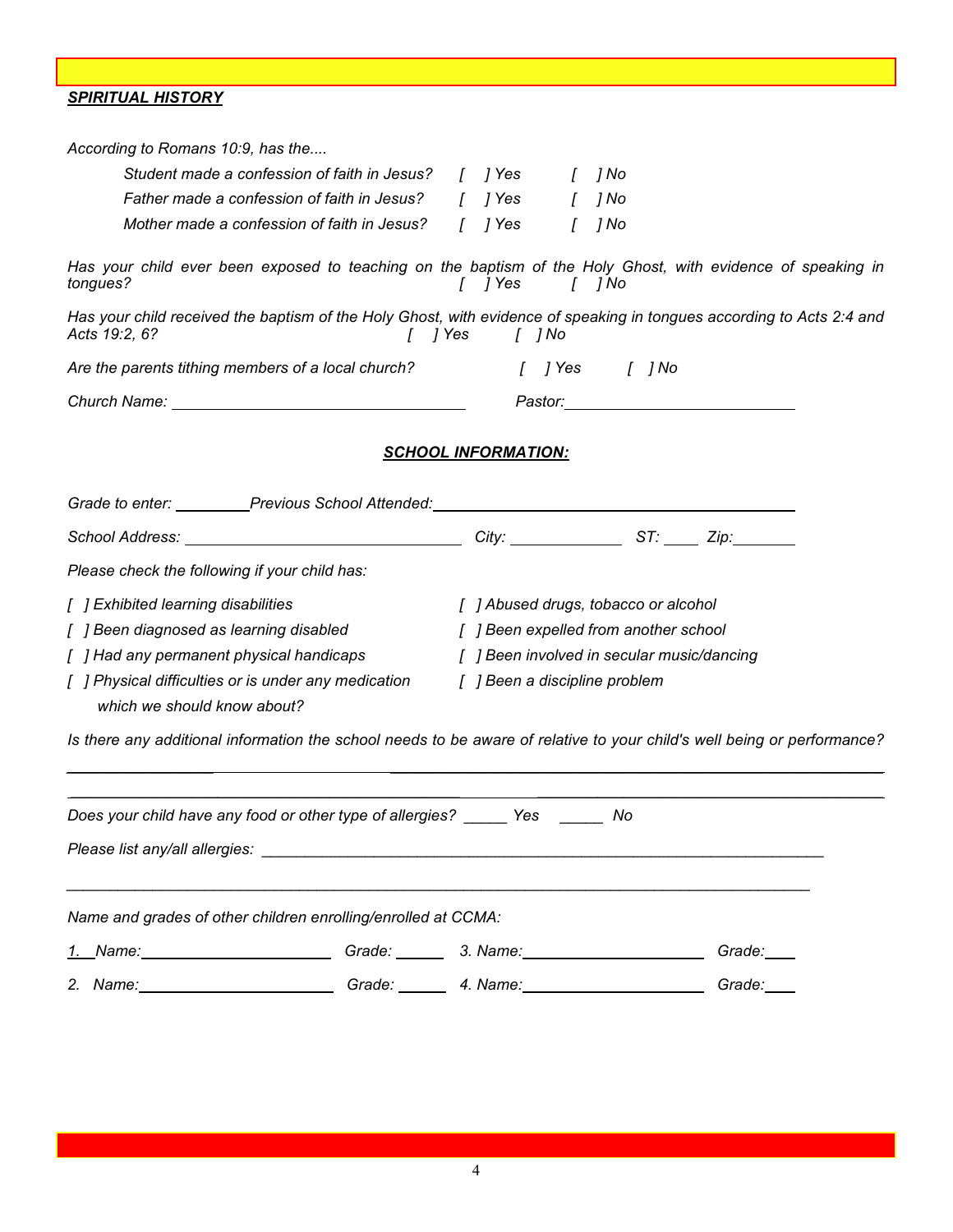*SPIRITUAL HISTORY*

| According to Romans 10:9, has the                                                                                                      |                                       |                                            |
|----------------------------------------------------------------------------------------------------------------------------------------|---------------------------------------|--------------------------------------------|
| Student made a confession of faith in Jesus? [ ] Yes                                                                                   |                                       | ] No                                       |
| Father made a confession of faith in Jesus? [ ] Yes [                                                                                  |                                       | ] No                                       |
| Mother made a confession of faith in Jesus?                                                                                            | [ ] Yes<br>$\Gamma$                   | ] No                                       |
| Has your child ever been exposed to teaching on the baptism of the Holy Ghost, with evidence of speaking in<br>tongues?                | $1$ $7$ Yes<br>[ ]No                  |                                            |
| Has your child received the baptism of the Holy Ghost, with evidence of speaking in tongues according to Acts 2:4 and<br>Acts 19:2, 6? | [ ] Yes   [ ] No                      |                                            |
| Are the parents tithing members of a local church? [ ] [ ] Yes [ ] No                                                                  |                                       |                                            |
|                                                                                                                                        |                                       |                                            |
|                                                                                                                                        | <b>SCHOOL INFORMATION:</b>            |                                            |
| Grade to enter: Previous School Attended: Cambridge Canada Content Content of the Previous Chool Attended:                             |                                       |                                            |
|                                                                                                                                        |                                       |                                            |
| Please check the following if your child has:                                                                                          |                                       |                                            |
| [ ] Exhibited learning disabilities                                                                                                    | [ ] Abused drugs, tobacco or alcohol  |                                            |
| [ ] Been diagnosed as learning disabled                                                                                                | [ ] Been expelled from another school |                                            |
| [ ] Had any permanent physical handicaps                                                                                               |                                       | [ ] Been involved in secular music/dancing |
| [ ] Physical difficulties or is under any medication<br>which we should know about?                                                    | [ ] Been a discipline problem         |                                            |
| Is there any additional information the school needs to be aware of relative to your child's well being or performance?                |                                       |                                            |
| Does your child have any food or other type of allergies? _____ Yes _____                                                              |                                       | No                                         |
|                                                                                                                                        |                                       |                                            |
| Name and grades of other children enrolling/enrolled at CCMA:                                                                          |                                       |                                            |
|                                                                                                                                        |                                       | Grade:                                     |
|                                                                                                                                        |                                       | Grade:                                     |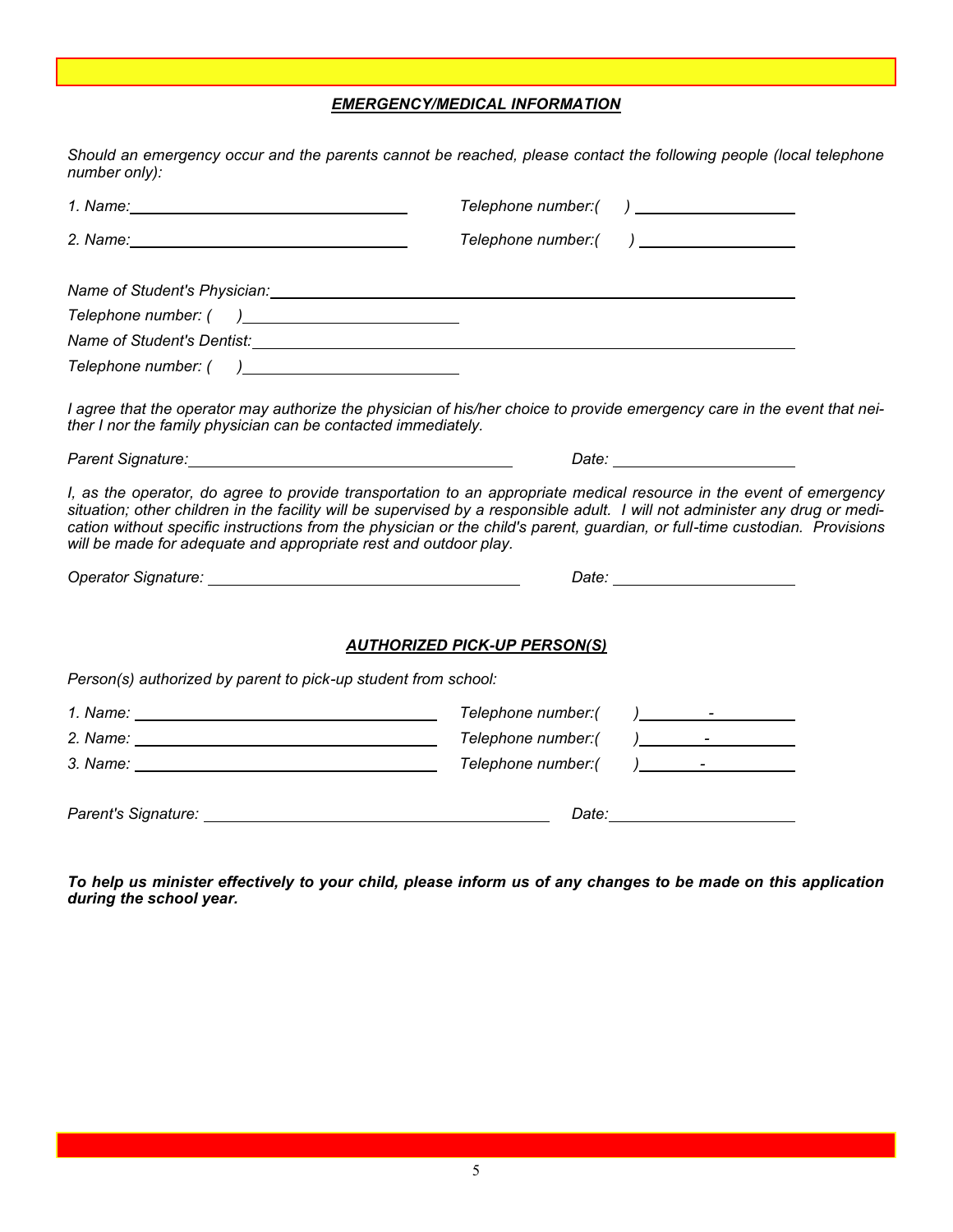#### *EMERGENCY/MEDICAL INFORMATION*

*Should an emergency occur and the parents cannot be reached, please contact the following people (local telephone number only):*

|                                                                                                                                                                                                                                      | Telephone number:(                                                                                                                                                                                                                                                                                                                                                                 |
|--------------------------------------------------------------------------------------------------------------------------------------------------------------------------------------------------------------------------------------|------------------------------------------------------------------------------------------------------------------------------------------------------------------------------------------------------------------------------------------------------------------------------------------------------------------------------------------------------------------------------------|
|                                                                                                                                                                                                                                      | Telephone number:(                                                                                                                                                                                                                                                                                                                                                                 |
|                                                                                                                                                                                                                                      |                                                                                                                                                                                                                                                                                                                                                                                    |
|                                                                                                                                                                                                                                      |                                                                                                                                                                                                                                                                                                                                                                                    |
| Name of Student's Dentist: Name of Student's Dentist: Name of Student's Dentist:                                                                                                                                                     |                                                                                                                                                                                                                                                                                                                                                                                    |
|                                                                                                                                                                                                                                      |                                                                                                                                                                                                                                                                                                                                                                                    |
| ther I nor the family physician can be contacted immediately.                                                                                                                                                                        | I agree that the operator may authorize the physician of his/her choice to provide emergency care in the event that nei-                                                                                                                                                                                                                                                           |
|                                                                                                                                                                                                                                      |                                                                                                                                                                                                                                                                                                                                                                                    |
| will be made for adequate and appropriate rest and outdoor play.                                                                                                                                                                     | I, as the operator, do agree to provide transportation to an appropriate medical resource in the event of emergency<br>situation; other children in the facility will be supervised by a responsible adult. I will not administer any drug or medi-<br>cation without specific instructions from the physician or the child's parent, guardian, or full-time custodian. Provisions |
| Operator Signature: No. 1997 - Alexander School and The Contract of The Contract of The Contract of The Contract of The Contract of The Contract of The Contract of The Contract of The Contract of The Contract of The Contra       |                                                                                                                                                                                                                                                                                                                                                                                    |
| Person(s) authorized by parent to pick-up student from school:                                                                                                                                                                       | <b>AUTHORIZED PICK-UP PERSON(S)</b>                                                                                                                                                                                                                                                                                                                                                |
|                                                                                                                                                                                                                                      | Telephone number:(                                                                                                                                                                                                                                                                                                                                                                 |
|                                                                                                                                                                                                                                      | Telephone number:(                                                                                                                                                                                                                                                                                                                                                                 |
|                                                                                                                                                                                                                                      | Telephone number:(                                                                                                                                                                                                                                                                                                                                                                 |
| Parent's Signature: <u>contract and the set of the set of the set of the set of the set of the set of the set of the set of the set of the set of the set of the set of the set of the set of the set of the set of the set of t</u> |                                                                                                                                                                                                                                                                                                                                                                                    |

*To help us minister effectively to your child, please inform us of any changes to be made on this application during the school year.*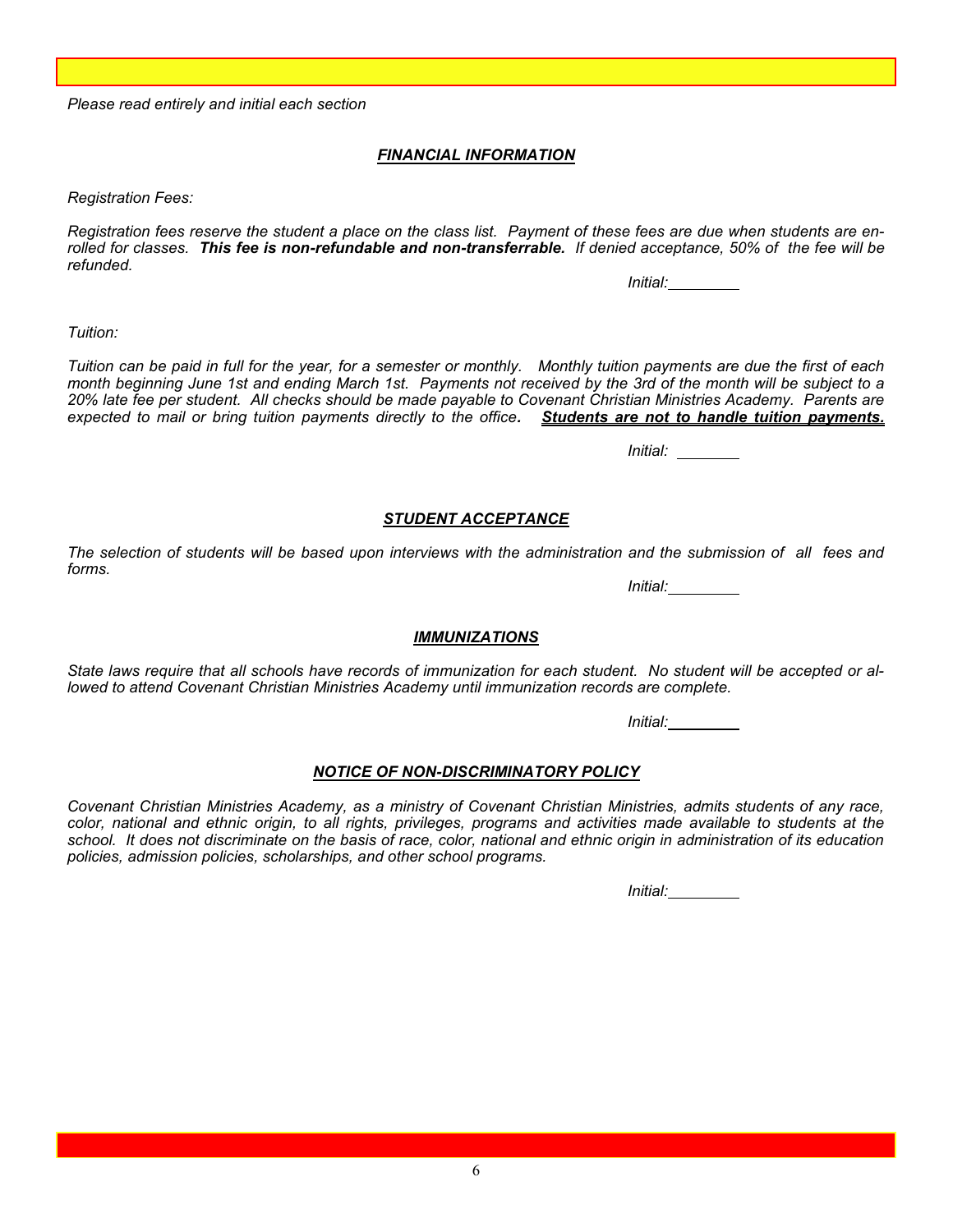*Please read entirely and initial each section*

#### *FINANCIAL INFORMATION*

*Registration Fees:*

*Registration fees reserve the student a place on the class list. Payment of these fees are due when students are enrolled for classes. This fee is non-refundable and non-transferrable. If denied acceptance, 50% of the fee will be refunded.*

*Initial:*

*Tuition:*

*Tuition can be paid in full for the year, for a semester or monthly. Monthly tuition payments are due the first of each month beginning June 1st and ending March 1st. Payments not received by the 3rd of the month will be subject to a 20% late fee per student. All checks should be made payable to Covenant Christian Ministries Academy. Parents are expected to mail or bring tuition payments directly to the office. Students are not to handle tuition payments.* 

*Initial:* 

#### *STUDENT ACCEPTANCE*

*The selection of students will be based upon interviews with the administration and the submission of all fees and forms.*

*Initial:*

#### *IMMUNIZATIONS*

*State laws require that all schools have records of immunization for each student. No student will be accepted or allowed to attend Covenant Christian Ministries Academy until immunization records are complete.*

*Initial:*

#### *NOTICE OF NON-DISCRIMINATORY POLICY*

*Covenant Christian Ministries Academy, as a ministry of Covenant Christian Ministries, admits students of any race, color, national and ethnic origin, to all rights, privileges, programs and activities made available to students at the school. It does not discriminate on the basis of race, color, national and ethnic origin in administration of its education policies, admission policies, scholarships, and other school programs.* 

*Initial:*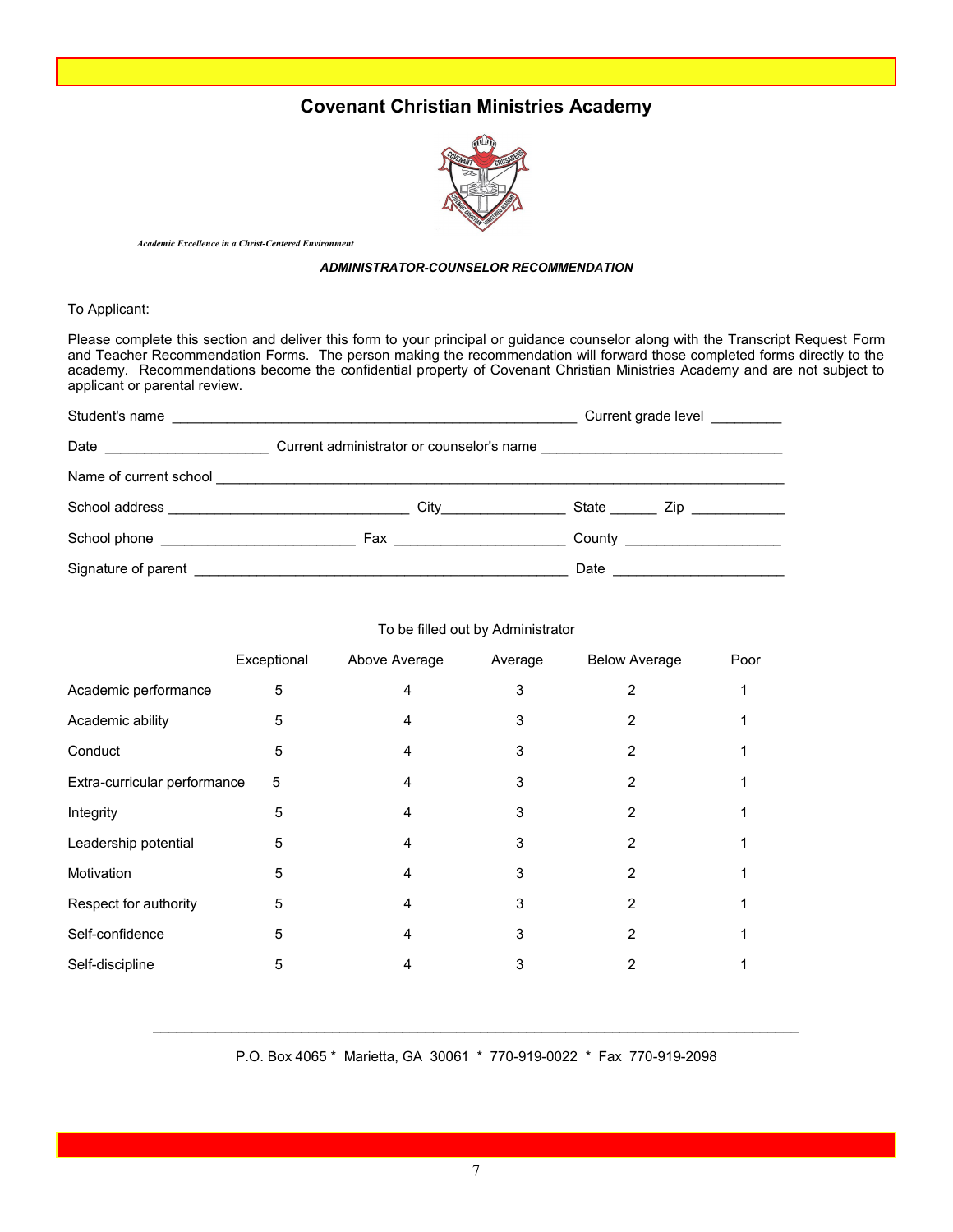## **Covenant Christian Ministries Academy**



*Academic Excellence in a Christ-Centered Environment* 

#### *ADMINISTRATOR-COUNSELOR RECOMMENDATION*

#### To Applicant:

Please complete this section and deliver this form to your principal or guidance counselor along with the Transcript Request Form and Teacher Recommendation Forms. The person making the recommendation will forward those completed forms directly to the academy. Recommendations become the confidential property of Covenant Christian Ministries Academy and are not subject to applicant or parental review.

|                            | Current grade level        |                                                                                                                                                                                                                                              |  |
|----------------------------|----------------------------|----------------------------------------------------------------------------------------------------------------------------------------------------------------------------------------------------------------------------------------------|--|
| Date _____________________ |                            |                                                                                                                                                                                                                                              |  |
|                            |                            |                                                                                                                                                                                                                                              |  |
|                            |                            | State Zip Zip                                                                                                                                                                                                                                |  |
|                            | Fax ______________________ | County _______________________                                                                                                                                                                                                               |  |
|                            |                            | Date<br><u> 1980 - Jan Stein Harry Harry Harry Harry Harry Harry Harry Harry Harry Harry Harry Harry Harry Harry Harry Harry Harry Harry Harry Harry Harry Harry Harry Harry Harry Harry Harry Harry Harry Harry Harry Harry Harry Harry</u> |  |

#### To be filled out by Administrator

|                              | Exceptional | Above Average | Average | <b>Below Average</b> | Poor |
|------------------------------|-------------|---------------|---------|----------------------|------|
| Academic performance         | 5           | 4             | 3       | 2                    |      |
| Academic ability             | 5           | 4             | 3       | 2                    |      |
| Conduct                      | 5           | 4             | 3       | 2                    |      |
| Extra-curricular performance | 5           | 4             | 3       | 2                    |      |
| Integrity                    | 5           | 4             | 3       | 2                    |      |
| Leadership potential         | 5           | 4             | 3       | 2                    |      |
| Motivation                   | 5           | 4             | 3       | 2                    |      |
| Respect for authority        | 5           | 4             | 3       | 2                    |      |
| Self-confidence              | 5           | 4             | 3       |                      |      |
| Self-discipline              | 5           | 4             | 3       | 2                    |      |

 $\_$  , and the state of the state of the state of the state of the state of the state of the state of the state of the state of the state of the state of the state of the state of the state of the state of the state of the P.O. Box 4065 \* Marietta, GA 30061 \* 770-919-0022 \* Fax 770-919-2098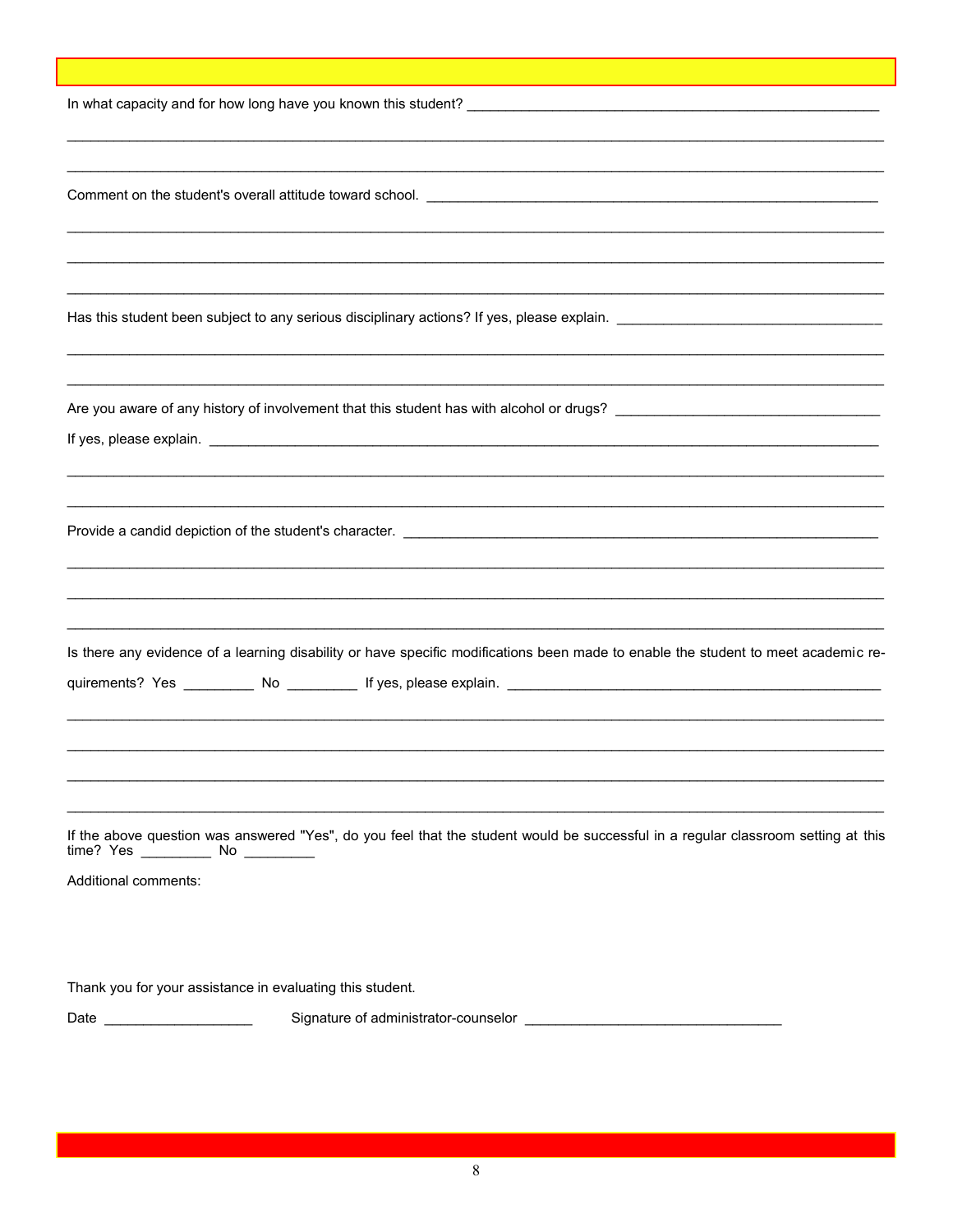| Is there any evidence of a learning disability or have specific modifications been made to enable the student to meet academic re- |
|------------------------------------------------------------------------------------------------------------------------------------|
|                                                                                                                                    |
|                                                                                                                                    |
|                                                                                                                                    |
|                                                                                                                                    |
|                                                                                                                                    |
|                                                                                                                                    |
| If the above question was answered "Yes", do you feel that the student would be successful in a regular classroom setting at this  |
|                                                                                                                                    |
| Additional comments:                                                                                                               |
|                                                                                                                                    |
|                                                                                                                                    |
|                                                                                                                                    |
| Thank you for your assistance in evaluating this student.                                                                          |
|                                                                                                                                    |
|                                                                                                                                    |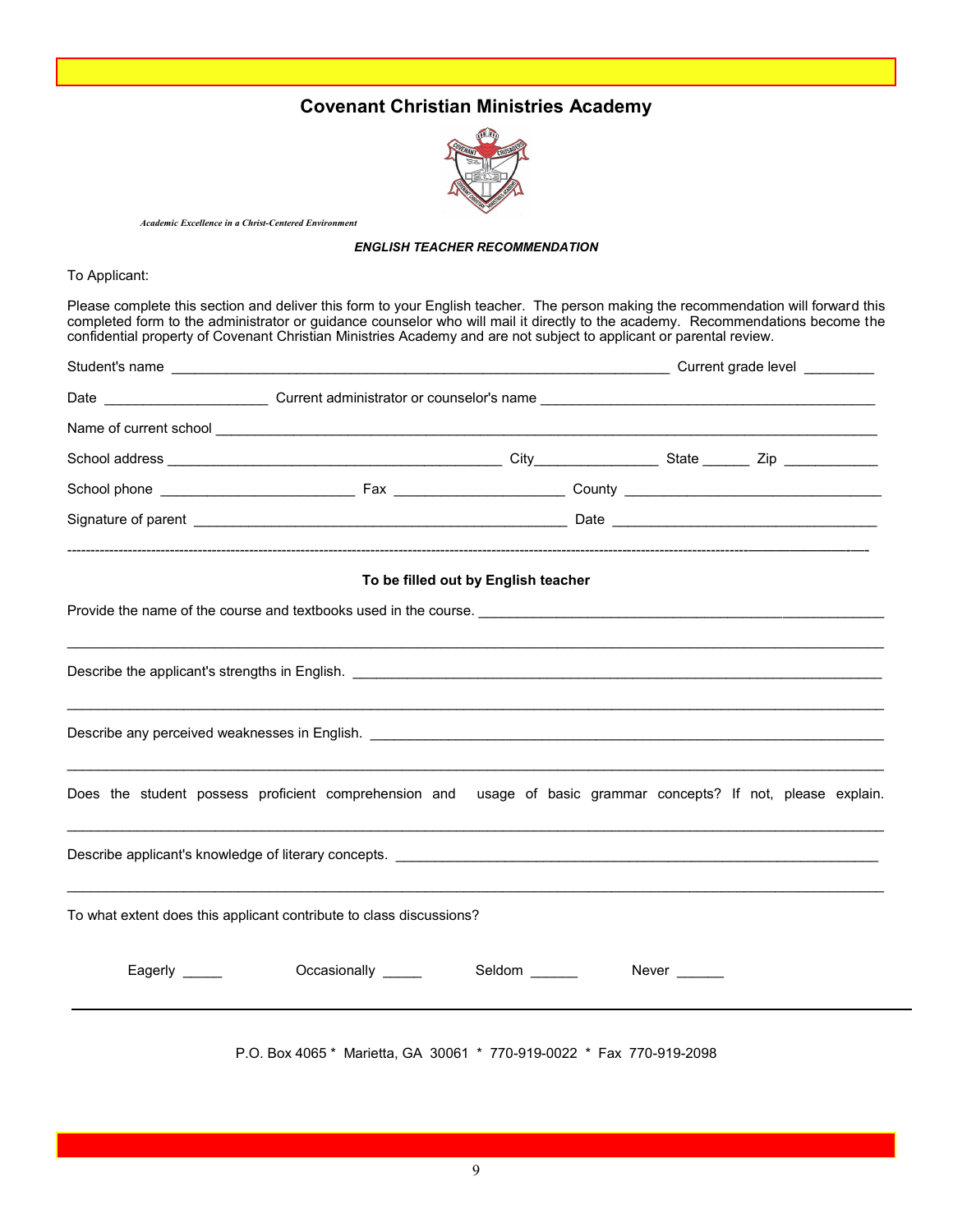## **Covenant Christian Ministries Academy**



*Academic Excellence in a Christ-Centered Environment* 

#### *ENGLISH TEACHER RECOMMENDATION*

To Applicant:

Please complete this section and deliver this form to your English teacher. The person making the recommendation will forward this completed form to the administrator or guidance counselor who will mail it directly to the academy. Recommendations become the confidential property of Covenant Christian Ministries Academy and are not subject to applicant or parental review.

|               | Date _____________________________Current administrator or counselor's name ___________________________________ |                                     |              |  |
|---------------|-----------------------------------------------------------------------------------------------------------------|-------------------------------------|--------------|--|
|               |                                                                                                                 |                                     |              |  |
|               |                                                                                                                 |                                     |              |  |
|               |                                                                                                                 |                                     |              |  |
|               |                                                                                                                 |                                     |              |  |
|               |                                                                                                                 | To be filled out by English teacher |              |  |
|               |                                                                                                                 |                                     |              |  |
|               |                                                                                                                 |                                     |              |  |
|               |                                                                                                                 |                                     |              |  |
|               | Does the student possess proficient comprehension and usage of basic grammar concepts? If not, please explain.  |                                     |              |  |
|               |                                                                                                                 |                                     |              |  |
|               | To what extent does this applicant contribute to class discussions?                                             |                                     |              |  |
| Eagerly _____ | Occasionally _____                                                                                              | Seldom ______                       | Never $\_\_$ |  |
|               | P.O. Box 4065 * Marietta, GA 30061 * 770-919-0022 * Fax 770-919-2098                                            |                                     |              |  |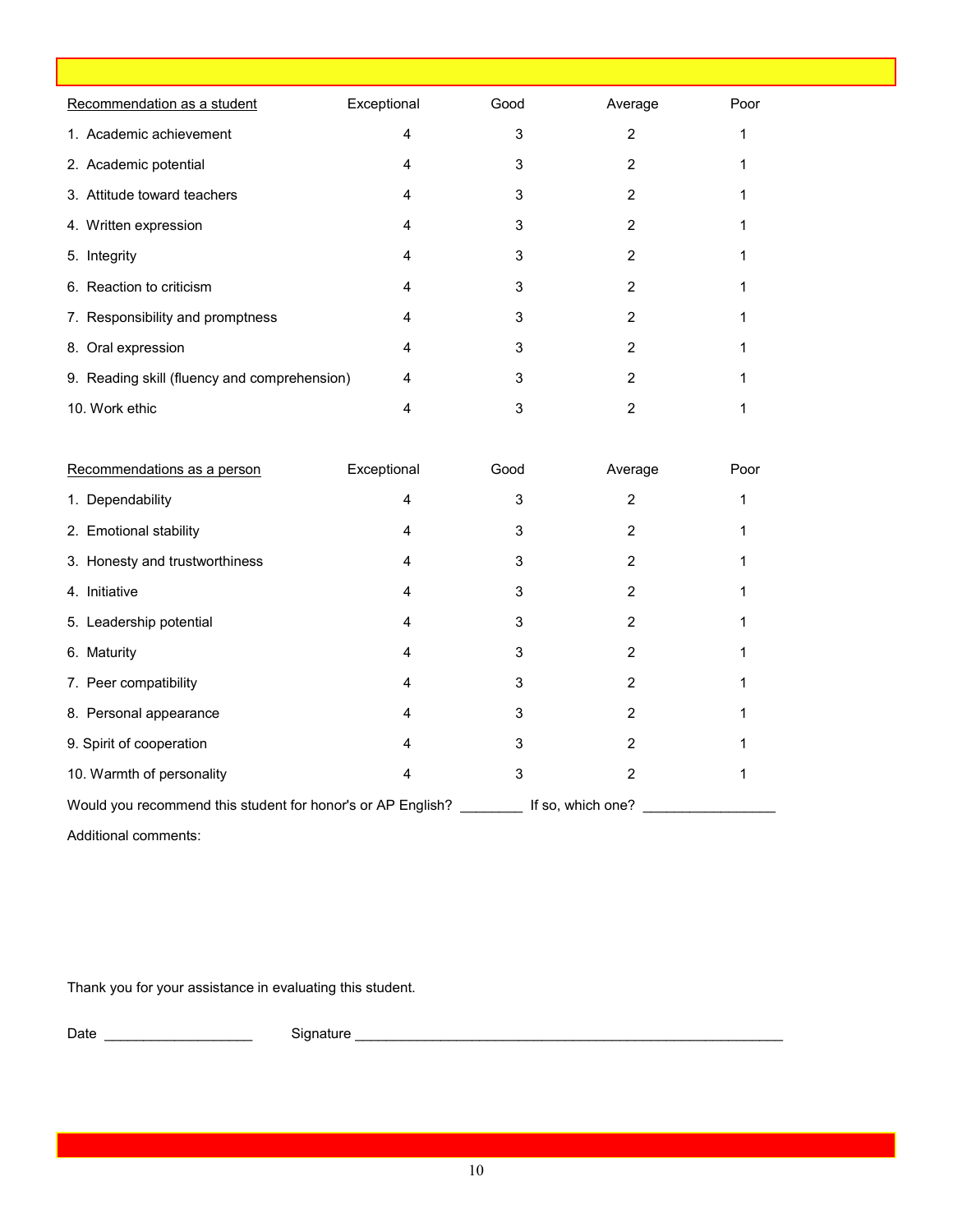| Recommendation as a student                  | Exceptional | Good | Average | Poor |  |
|----------------------------------------------|-------------|------|---------|------|--|
| 1. Academic achievement                      | 4           | 3    | 2       |      |  |
| 2. Academic potential                        | 4           | 3    | 2       |      |  |
| 3. Attitude toward teachers                  | 4           | 3    | 2       |      |  |
| 4. Written expression                        | 4           | 3    | 2       |      |  |
| 5. Integrity                                 | 4           | 3    | 2       |      |  |
| 6. Reaction to criticism                     | 4           | 3    | 2       |      |  |
| 7. Responsibility and promptness             | 4           | 3    | 2       |      |  |
| 8. Oral expression                           | 4           | 3    | 2       |      |  |
| 9. Reading skill (fluency and comprehension) | 4           | 3    | 2       |      |  |
| 10. Work ethic                               |             | 3    |         |      |  |

| Recommendations as a person                                 | Exceptional | Good | Average           | Poor |
|-------------------------------------------------------------|-------------|------|-------------------|------|
| 1. Dependability                                            | 4           | 3    | 2                 |      |
| 2. Emotional stability                                      | 4           | 3    |                   |      |
| 3. Honesty and trustworthiness                              | 4           | з    | 2                 |      |
| 4. Initiative                                               | 4           | 3    | 2                 |      |
| 5. Leadership potential                                     | 4           | 3    | 2                 |      |
| 6. Maturity                                                 | 4           | 3    | 2                 |      |
| 7. Peer compatibility                                       | 4           | 3    | 2                 |      |
| 8. Personal appearance                                      | 4           | 3    | 2                 |      |
| 9. Spirit of cooperation                                    | 4           | 3    | 2                 |      |
| 10. Warmth of personality                                   | 4           | 3    | 2                 |      |
| Would you recommend this student for honor's or AP English? |             |      | If so, which one? |      |

Additional comments:

Thank you for your assistance in evaluating this student.

Date \_\_\_\_\_\_\_\_\_\_\_\_\_\_\_\_\_\_\_ Signature \_\_\_\_\_\_\_\_\_\_\_\_\_\_\_\_\_\_\_\_\_\_\_\_\_\_\_\_\_\_\_\_\_\_\_\_\_\_\_\_\_\_\_\_\_\_\_\_\_\_\_\_\_\_\_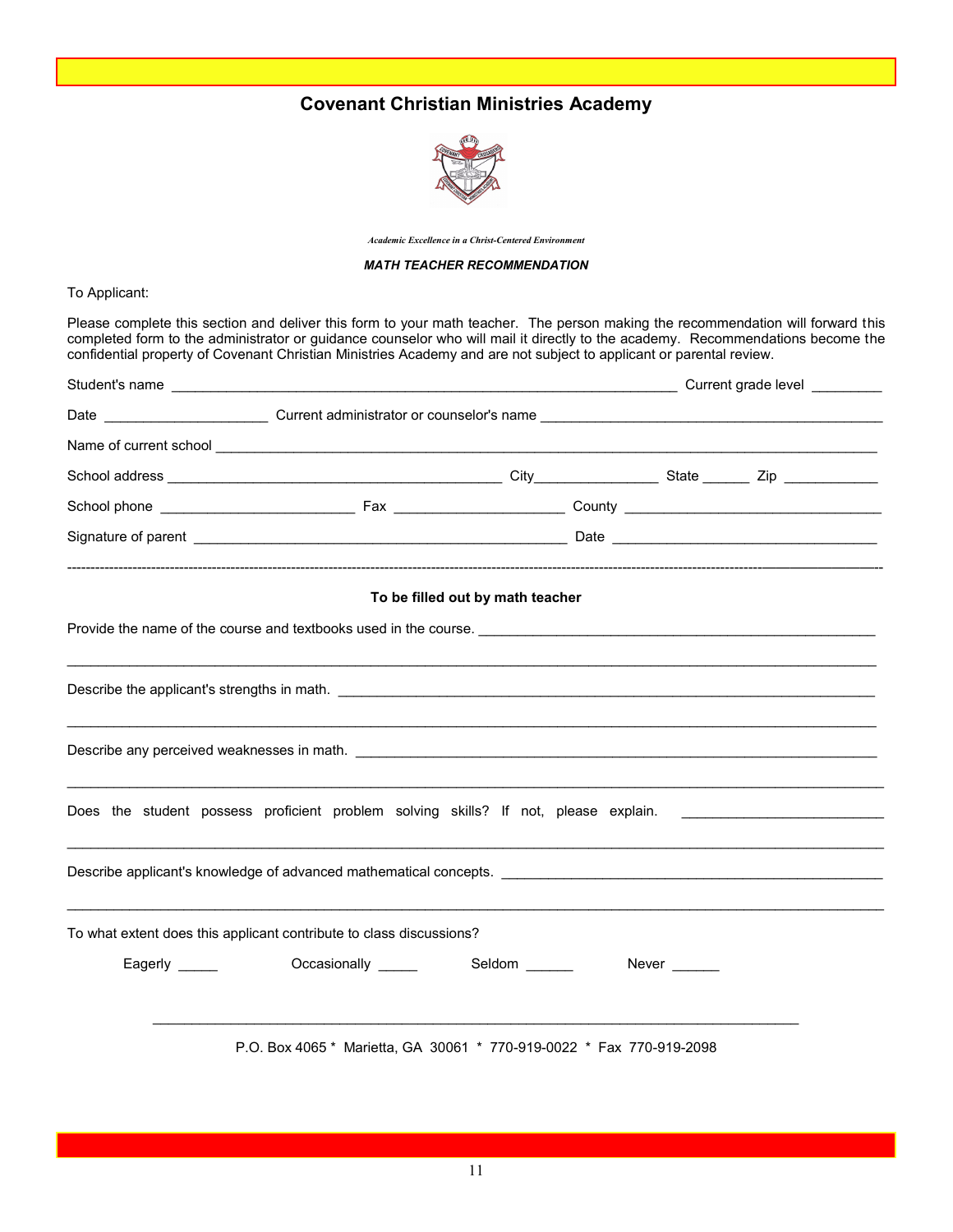## **Covenant Christian Ministries Academy**



*Academic Excellence in a Christ-Centered Environment* 

#### *MATH TEACHER RECOMMENDATION*

To Applicant:

Please complete this section and deliver this form to your math teacher. The person making the recommendation will forward this completed form to the administrator or guidance counselor who will mail it directly to the academy. Recommendations become the confidential property of Covenant Christian Ministries Academy and are not subject to applicant or parental review.

|                                                                                                                | To be filled out by math teacher |              |  |
|----------------------------------------------------------------------------------------------------------------|----------------------------------|--------------|--|
|                                                                                                                |                                  |              |  |
|                                                                                                                |                                  |              |  |
|                                                                                                                |                                  |              |  |
| Does the student possess proficient problem solving skills? If not, please explain. __________________________ |                                  |              |  |
|                                                                                                                |                                  |              |  |
| To what extent does this applicant contribute to class discussions?                                            |                                  |              |  |
| Eagerly _______ Occasionally _____ Seldom _____                                                                |                                  | Never $\_\_$ |  |
|                                                                                                                |                                  |              |  |
| P.O. Box 4065 * Marietta, GA 30061 * 770-919-0022 * Fax 770-919-2098                                           |                                  |              |  |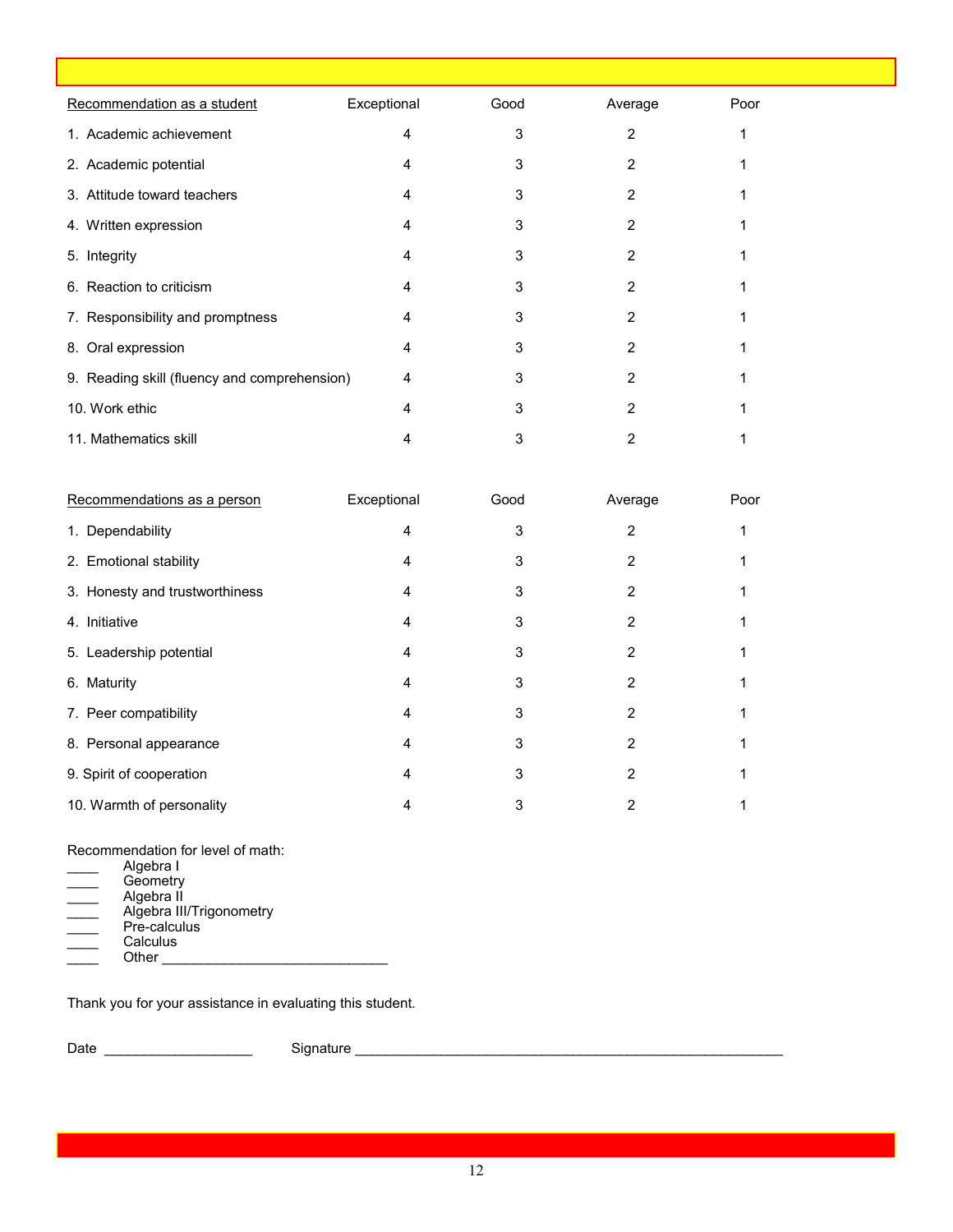| Recommendation as a student                  | Exceptional | Good | Average | Poor |  |
|----------------------------------------------|-------------|------|---------|------|--|
| 1. Academic achievement                      | 4           | 3    | 2       |      |  |
| 2. Academic potential                        | 4           | 3    | 2       |      |  |
| 3. Attitude toward teachers                  | 4           | 3    | 2       |      |  |
| 4. Written expression                        | 4           | 3    | 2       |      |  |
| 5. Integrity                                 | 4           | 3    | 2       |      |  |
| 6. Reaction to criticism                     | 4           | 3    | 2       |      |  |
| 7. Responsibility and promptness             | 4           | 3    | 2       |      |  |
| 8. Oral expression                           | 4           | 3    | 2       |      |  |
| 9. Reading skill (fluency and comprehension) | 4           | 3    | 2       |      |  |
| 10. Work ethic                               | 4           | 3    | 2       |      |  |
| 11. Mathematics skill                        |             | 3    |         |      |  |

| Recommendations as a person    | Exceptional | Good | Average | Poor |
|--------------------------------|-------------|------|---------|------|
| 1. Dependability               | 4           | 3    | 2       |      |
| 2. Emotional stability         | 4           | 3    | 2       |      |
| 3. Honesty and trustworthiness | 4           | 3    | 2       |      |
| 4. Initiative                  | 4           | 3    | 2       |      |
| 5. Leadership potential        | 4           | 3    | 2       |      |
| 6. Maturity                    | 4           | 3    | 2       |      |
| 7. Peer compatibility          | 4           | 3    | 2       |      |
| 8. Personal appearance         | 4           | 3    | 2       |      |
| 9. Spirit of cooperation       | 4           | 3    | 2       |      |
| 10. Warmth of personality      | 4           | 3    | 2       |      |

#### Recommendation for level of math:

| Algebra I                |
|--------------------------|
| Geometry                 |
| Algebra II               |
| Algebra III/Trigonometry |
| Pre-calculus             |
|                          |
| Calculus                 |
| Other                    |

Thank you for your assistance in evaluating this student.

Date \_\_\_\_\_\_\_\_\_\_\_\_\_\_\_\_\_\_\_ Signature \_\_\_\_\_\_\_\_\_\_\_\_\_\_\_\_\_\_\_\_\_\_\_\_\_\_\_\_\_\_\_\_\_\_\_\_\_\_\_\_\_\_\_\_\_\_\_\_\_\_\_\_\_\_\_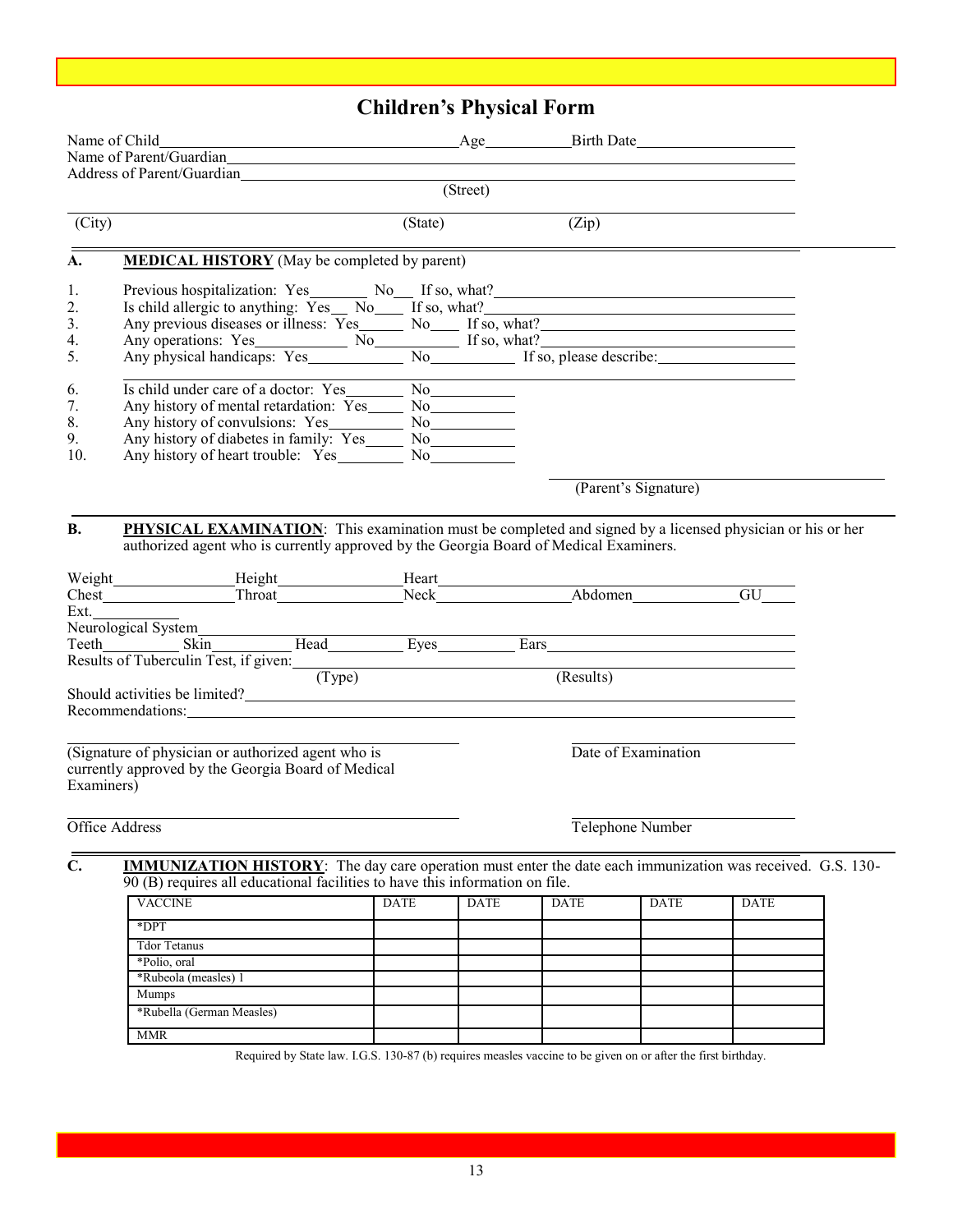## **Children's Physical Form**

|                | Name of Parent/Guardian                                                                                                                                                                                                       |             |             |             |                      |             |  |
|----------------|-------------------------------------------------------------------------------------------------------------------------------------------------------------------------------------------------------------------------------|-------------|-------------|-------------|----------------------|-------------|--|
|                | Address of Parent/Guardian League and Address of Parent/Guardian League                                                                                                                                                       |             | (Street)    |             |                      |             |  |
|                |                                                                                                                                                                                                                               |             |             |             |                      |             |  |
| (City)         |                                                                                                                                                                                                                               | (State)     |             | (Zip)       |                      |             |  |
| A.             | <b>MEDICAL HISTORY</b> (May be completed by parent)                                                                                                                                                                           |             |             |             |                      |             |  |
| 1.             |                                                                                                                                                                                                                               |             |             |             |                      |             |  |
| 2.             |                                                                                                                                                                                                                               |             |             |             |                      |             |  |
| 3.             |                                                                                                                                                                                                                               |             |             |             |                      |             |  |
| 4.             |                                                                                                                                                                                                                               |             |             |             |                      |             |  |
| 5.             |                                                                                                                                                                                                                               |             |             |             |                      |             |  |
| 6.             | Is child under care of a doctor: Yes Mo Many history of mental retardation: Yes Mo Many history of mental retardation: Yes Mo Many Mo Many Mo Many Mo Many Mo Many Mo Many Mo Many Mo Many Mo Many Mo Many Mo Many Mo Many Mo |             |             |             |                      |             |  |
| 7.             |                                                                                                                                                                                                                               |             |             |             |                      |             |  |
| 8.             |                                                                                                                                                                                                                               |             |             |             |                      |             |  |
| 9.             |                                                                                                                                                                                                                               |             |             |             |                      |             |  |
| 10.            | Any history of heart trouble: Yes No                                                                                                                                                                                          |             |             |             |                      |             |  |
|                |                                                                                                                                                                                                                               |             |             |             | (Parent's Signature) |             |  |
|                |                                                                                                                                                                                                                               |             |             |             |                      |             |  |
|                | authorized agent who is currently approved by the Georgia Board of Medical Examiners.                                                                                                                                         |             |             |             |                      |             |  |
|                |                                                                                                                                                                                                                               |             |             |             |                      |             |  |
|                |                                                                                                                                                                                                                               |             |             |             |                      |             |  |
|                |                                                                                                                                                                                                                               |             |             |             |                      |             |  |
|                |                                                                                                                                                                                                                               |             |             |             |                      |             |  |
|                | Ext.<br>Neurological System<br>Teeth Skin Skin Head Eyes Ears Ears<br>Results of Tuberculin Test, if given: (Type) (Result                                                                                                    |             |             | (Results)   |                      |             |  |
|                | Should activities be limited?                                                                                                                                                                                                 |             |             |             |                      |             |  |
|                | Recommendations:                                                                                                                                                                                                              |             |             |             |                      |             |  |
|                |                                                                                                                                                                                                                               |             |             |             |                      |             |  |
|                | (Signature of physician or authorized agent who is<br>currently approved by the Georgia Board of Medical                                                                                                                      |             |             |             | Date of Examination  |             |  |
| Examiners)     |                                                                                                                                                                                                                               |             |             |             |                      |             |  |
|                |                                                                                                                                                                                                                               |             |             |             |                      |             |  |
| Office Address |                                                                                                                                                                                                                               |             |             |             | Telephone Number     |             |  |
|                |                                                                                                                                                                                                                               |             |             |             |                      |             |  |
| C.             | <b>IMMUNIZATION HISTORY</b> : The day care operation must enter the date each immunization was received. G.S. 130-<br>$\overline{90}$ (B) requires all educational facilities to have this information on file.               |             |             |             |                      |             |  |
|                | <b>VACCINE</b>                                                                                                                                                                                                                | <b>DATE</b> | <b>DATE</b> | <b>DATE</b> | <b>DATE</b>          | <b>DATE</b> |  |
|                | *DPT                                                                                                                                                                                                                          |             |             |             |                      |             |  |
|                | <b>Tdor Tetanus</b>                                                                                                                                                                                                           |             |             |             |                      |             |  |
|                | *Polio, oral                                                                                                                                                                                                                  |             |             |             |                      |             |  |
|                | *Rubeola (measles) 1                                                                                                                                                                                                          |             |             |             |                      |             |  |
|                | Mumps                                                                                                                                                                                                                         |             |             |             |                      |             |  |
|                | *Rubella (German Measles)                                                                                                                                                                                                     |             |             |             |                      |             |  |
|                | <b>MMR</b>                                                                                                                                                                                                                    |             |             |             |                      |             |  |

Required by State law. I.G.S. 130-87 (b) requires measles vaccine to be given on or after the first birthday.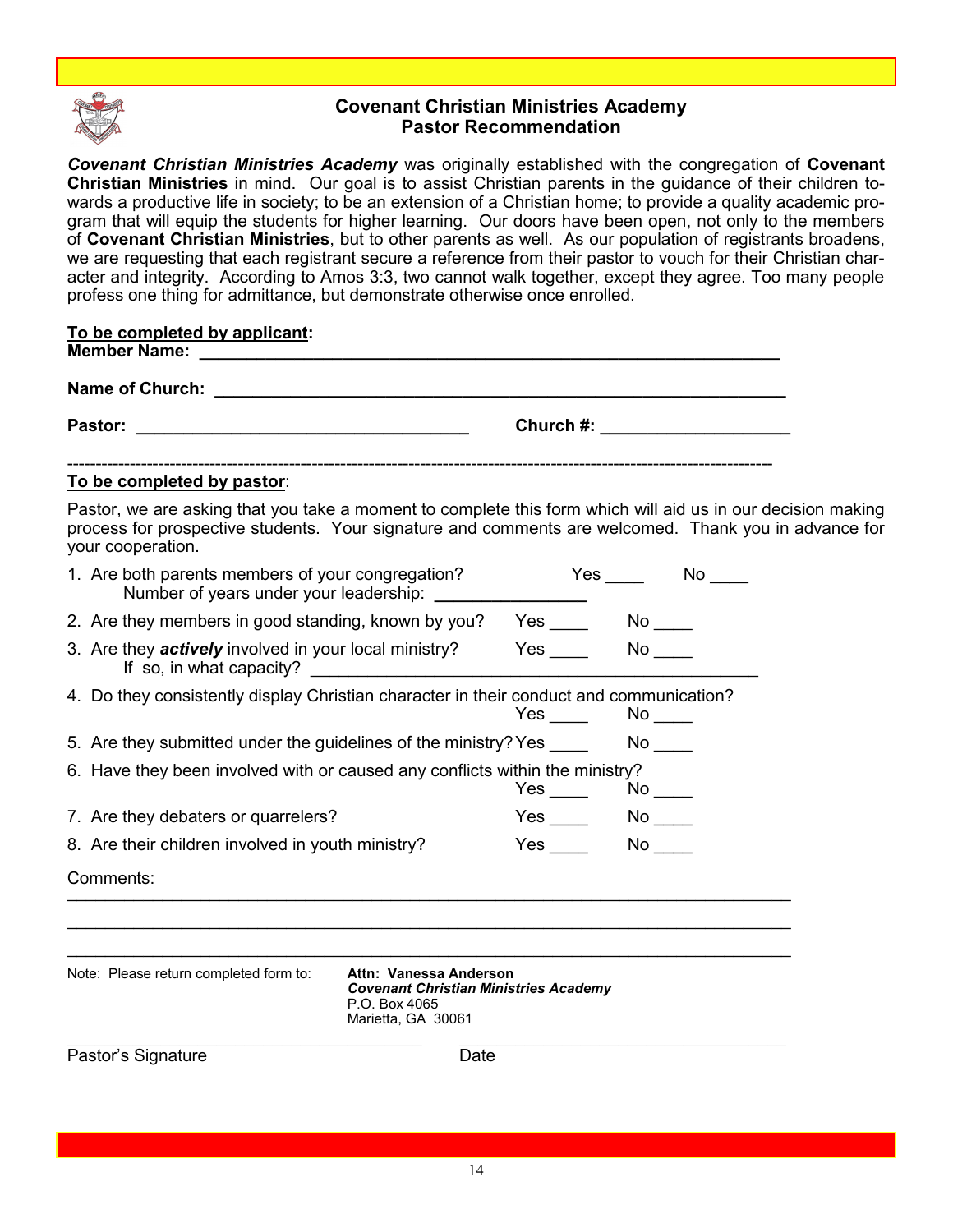

## **Covenant Christian Ministries Academy Pastor Recommendation**

*Covenant Christian Ministries Academy* was originally established with the congregation of **Covenant Christian Ministries** in mind. Our goal is to assist Christian parents in the guidance of their children towards a productive life in society; to be an extension of a Christian home; to provide a quality academic program that will equip the students for higher learning. Our doors have been open, not only to the members of **Covenant Christian Ministries**, but to other parents as well. As our population of registrants broadens, we are requesting that each registrant secure a reference from their pastor to vouch for their Christian character and integrity. According to Amos 3:3, two cannot walk together, except they agree. Too many people profess one thing for admittance, but demonstrate otherwise once enrolled.

| To be completed by applicant:<br>Member Name: Name: Name and New York Street Assembly Management and New York Street Assembly                                                                                                            |                                                                                                               |                                 |                                                                                                                                                                                                                               |  |  |
|------------------------------------------------------------------------------------------------------------------------------------------------------------------------------------------------------------------------------------------|---------------------------------------------------------------------------------------------------------------|---------------------------------|-------------------------------------------------------------------------------------------------------------------------------------------------------------------------------------------------------------------------------|--|--|
| Name of Church: Name of Church:                                                                                                                                                                                                          |                                                                                                               |                                 |                                                                                                                                                                                                                               |  |  |
|                                                                                                                                                                                                                                          |                                                                                                               |                                 | Church #: the contract of the contract of the contract of the contract of the contract of the contract of the contract of the contract of the contract of the contract of the contract of the contract of the contract of the |  |  |
| To be completed by pastor:                                                                                                                                                                                                               |                                                                                                               |                                 |                                                                                                                                                                                                                               |  |  |
| Pastor, we are asking that you take a moment to complete this form which will aid us in our decision making<br>process for prospective students. Your signature and comments are welcomed. Thank you in advance for<br>your cooperation. |                                                                                                               |                                 |                                                                                                                                                                                                                               |  |  |
| 1. Are both parents members of your congregation?<br>Number of years under your leadership:                                                                                                                                              |                                                                                                               |                                 |                                                                                                                                                                                                                               |  |  |
| 2. Are they members in good standing, known by you? Yes No                                                                                                                                                                               |                                                                                                               |                                 |                                                                                                                                                                                                                               |  |  |
| 3. Are they <i>actively</i> involved in your local ministry? Yes ________ No ____<br>If so, in what capacity?                                                                                                                            | <u> 1989 - Johann Barbara, martxa a</u>                                                                       |                                 |                                                                                                                                                                                                                               |  |  |
| 4. Do they consistently display Christian character in their conduct and communication?                                                                                                                                                  |                                                                                                               | Yes $\rule{1em}{0.15mm}$        | $No$ <sub>_____</sub>                                                                                                                                                                                                         |  |  |
| 5. Are they submitted under the guidelines of the ministry? Yes                                                                                                                                                                          |                                                                                                               |                                 | $No$ <sub>_____</sub>                                                                                                                                                                                                         |  |  |
| 6. Have they been involved with or caused any conflicts within the ministry?                                                                                                                                                             |                                                                                                               | $Yes \_\_\_\_\\$ No $\_\_\_\_\$ |                                                                                                                                                                                                                               |  |  |
| 7. Are they debaters or quarrelers?                                                                                                                                                                                                      |                                                                                                               |                                 | $No \_\_$                                                                                                                                                                                                                     |  |  |
| 8. Are their children involved in youth ministry?                                                                                                                                                                                        |                                                                                                               | <b>Yes</b>                      | $No$ <sub>____</sub>                                                                                                                                                                                                          |  |  |
| Comments:                                                                                                                                                                                                                                |                                                                                                               |                                 |                                                                                                                                                                                                                               |  |  |
|                                                                                                                                                                                                                                          |                                                                                                               |                                 |                                                                                                                                                                                                                               |  |  |
| Note: Please return completed form to:                                                                                                                                                                                                   | Attn: Vanessa Anderson<br><b>Covenant Christian Ministries Academy</b><br>P.O. Box 4065<br>Marietta, GA 30061 |                                 |                                                                                                                                                                                                                               |  |  |
| Pastor's Signature                                                                                                                                                                                                                       | Date                                                                                                          |                                 |                                                                                                                                                                                                                               |  |  |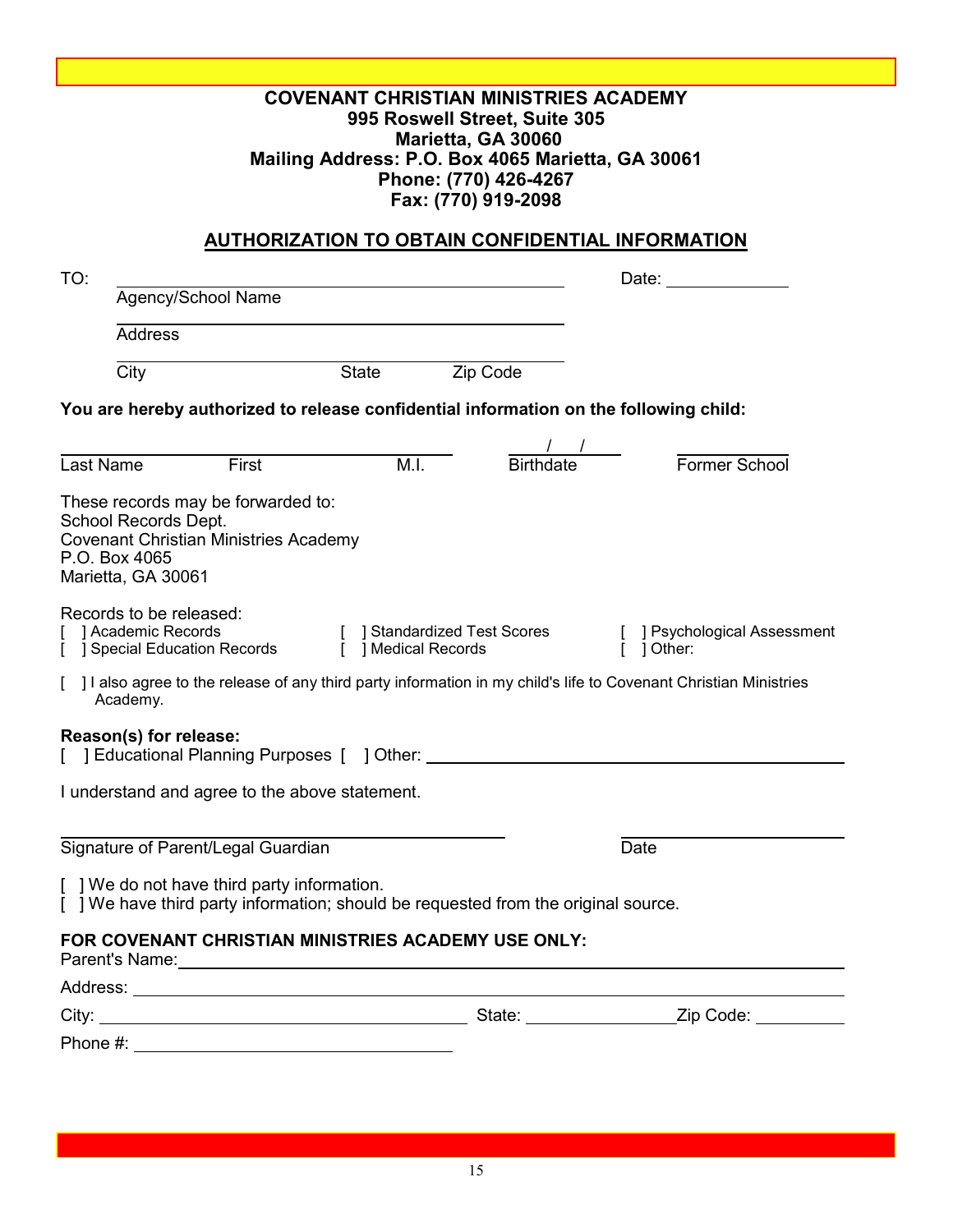## **COVENANT CHRISTIAN MINISTRIES ACADEMY 995 Roswell Street, Suite 305 Marietta, GA 30060 Mailing Address: P.O. Box 4065 Marietta, GA 30061 Phone: (770) 426-4267 Fax: (770) 919-2098**

## **AUTHORIZATION TO OBTAIN CONFIDENTIAL INFORMATION**

| TO:                                 |                                                                                                                                                                                                                                                                                       |                                |                              |                                                                                                                  |
|-------------------------------------|---------------------------------------------------------------------------------------------------------------------------------------------------------------------------------------------------------------------------------------------------------------------------------------|--------------------------------|------------------------------|------------------------------------------------------------------------------------------------------------------|
|                                     | Agency/School Name                                                                                                                                                                                                                                                                    |                                |                              |                                                                                                                  |
|                                     | <b>Address</b>                                                                                                                                                                                                                                                                        |                                |                              |                                                                                                                  |
| $\overline{City}$                   |                                                                                                                                                                                                                                                                                       | <b>State</b>                   | Zip Code                     |                                                                                                                  |
|                                     | You are hereby authorized to release confidential information on the following child:                                                                                                                                                                                                 |                                |                              |                                                                                                                  |
|                                     |                                                                                                                                                                                                                                                                                       |                                |                              |                                                                                                                  |
| Last Name                           | First                                                                                                                                                                                                                                                                                 | M.I.                           | $\frac{1}{\text{Birthdate}}$ | Former School                                                                                                    |
| P.O. Box 4065<br>Marietta, GA 30061 | These records may be forwarded to:<br>School Records Dept.<br><b>Covenant Christian Ministries Academy</b>                                                                                                                                                                            |                                |                              |                                                                                                                  |
|                                     | Records to be released:<br>Academic Records<br>] Special Education Records                                                                                                                                                                                                            | $\overline{1}$ Medical Records | [ ] Standardized Test Scores | [ ] Psychological Assessment<br>Ĩ.<br>] Other:                                                                   |
| Academy.                            |                                                                                                                                                                                                                                                                                       |                                |                              | ] I also agree to the release of any third party information in my child's life to Covenant Christian Ministries |
|                                     | Reason(s) for release:<br>[ ] Educational Planning Purposes [ ] Other: ___________________________________                                                                                                                                                                            |                                |                              |                                                                                                                  |
|                                     | I understand and agree to the above statement.                                                                                                                                                                                                                                        |                                |                              |                                                                                                                  |
|                                     | Signature of Parent/Legal Guardian                                                                                                                                                                                                                                                    |                                |                              | Date                                                                                                             |
|                                     | [ ] We do not have third party information.<br>[ ] We have third party information; should be requested from the original source.                                                                                                                                                     |                                |                              |                                                                                                                  |
|                                     | FOR COVENANT CHRISTIAN MINISTRIES ACADEMY USE ONLY:<br>Parent's Name: Note: 2008 and 2008 and 2008 and 2008 and 2008 and 2008 and 2008 and 2008 and 2008 and 2008 and 2008 and 2008 and 2008 and 2008 and 2008 and 2008 and 2008 and 2008 and 2008 and 2008 and 2008 and 2008 and 200 |                                |                              |                                                                                                                  |
|                                     |                                                                                                                                                                                                                                                                                       |                                |                              |                                                                                                                  |
| City:                               |                                                                                                                                                                                                                                                                                       |                                |                              |                                                                                                                  |
| Phone #:                            |                                                                                                                                                                                                                                                                                       |                                |                              |                                                                                                                  |